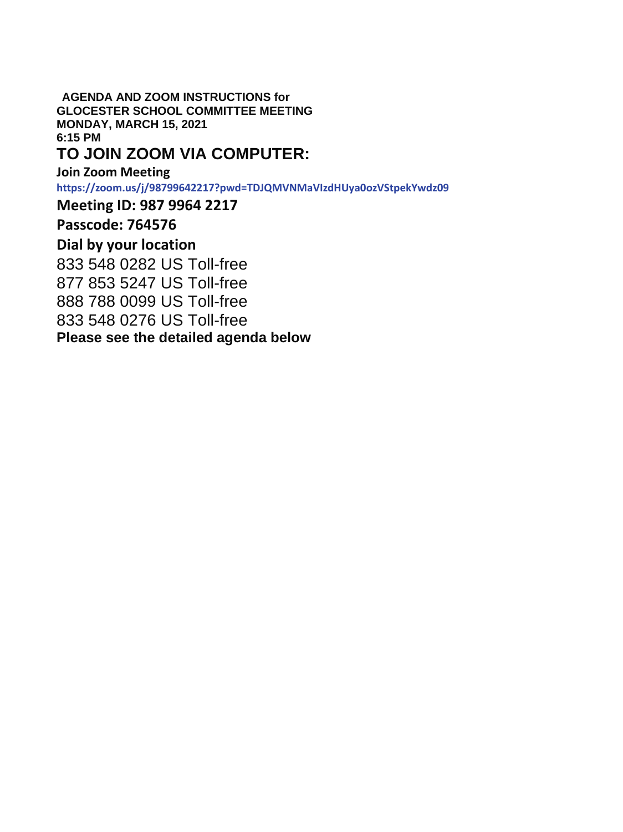**AGENDA AND ZOOM INSTRUCTIONS for GLOCESTER SCHOOL COMMITTEE MEETING MONDAY, MARCH 15, 2021 6:15 PM** 

## **TO JOIN ZOOM VIA COMPUTER:**

**Join Zoom Meeting https://zoom.us/j/98799642217?pwd=TDJQMVNMaVIzdHUya0ozVStpekYwdz09** 

**Meeting ID: 987 9964 2217** 

**Passcode: 764576** 

## **Dial by your location**

833 548 0282 US Toll-free 877 853 5247 US Toll-free 888 788 0099 US Toll-free 833 548 0276 US Toll-free **Please see the detailed agenda below**